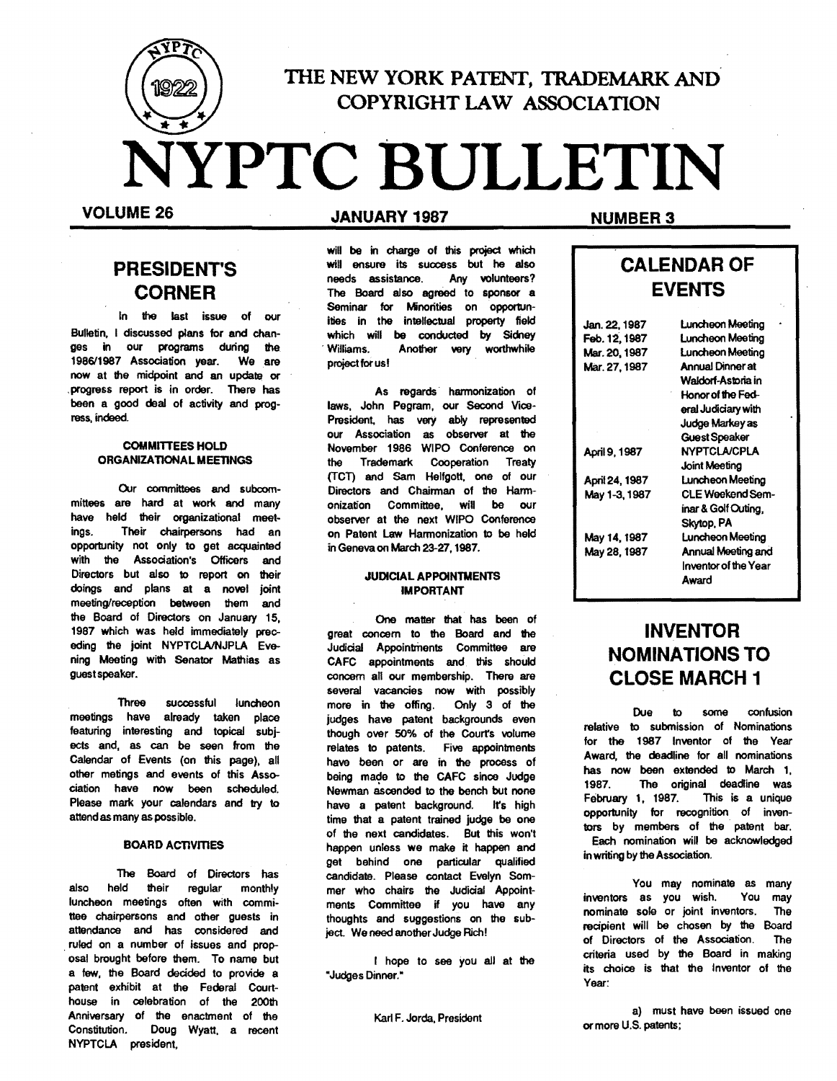

### **PRESIDENT'S CORNER**

In the last issue of our Bulletin, I discussed plans for and changes in our programs during the. 198611987 Association year. We are now at the midpoint and an update or ,progress report is in order. There has been a good deal of activity and progress, indeed.

#### COMMITIEES HOLD ORGANIZATIONAL MEETINGS

Our committees and subcommittees are hard at work and many have held their organizational meetings. Their chairpersons had an opportunity not only to get acquainted with the Association's Officers and Directors but also to report on their doings and plans at a novel joint meeting/reception between them and the Board of Directors on January 15, 1987 which was held immediately preceding the joint NYPTCLA/NJPLA Evening Meeting with Senator Mathias as guest speaker.

Three successful luncheon meetings have already taken place featuring interesting and topical subjects and, as can be seen from the Calendar of Events (on this page), all other metings and events of this Association have now been scheduled. Please mark your calendars and try to attend as many as possible.

#### **BOARD ACTIVITIES**

The Board of Directors has<br>held their regular monthly also held their regular monthly luncheon meetings often with committee chairpersons and other guests in attendance and has considered and ruled on a number of issues and prop osal brought before them. To name but a few, the Board decided to provide a patent exhibit at the Federal Courthouse in celebration of the 200th Anniversary of the enactment of the Constitution. Doug Wyatt. a recent NYPTCLA president,

### **VANUARY 1987** NUMBER 3

will be in charge of this project which will ensure its success but he also needs assistance. Any volunteers? The Board also agreed to sponsor a Seminar for Minonties on opportunities in the intellectual property field which will be conducted by Sidney<br>Williams. Another very worthwhile Another very worthwhile project for usI

As regards harmonization of laws, John Pegram, our Second Vice-President, has very ably represented our Association as observer at the November 1986 WIPO Conference on<br>the Trademark Cooperation Treaty the Trademark Cooperation (TCT) and Sam Helfgott. one of our Directors and Chairman of the Harmonization Committee, will be our observer at the next WIPO Conference on Patent Law Harmonization to be held in Geneva on March 23-27, 1987.

#### JUDICIAL APPOINTMENTS IMPORTANT

One matter that has been of great concem to the Board and the Judicial Appointments Committee are CAFC appointments and. this should concern all our membership. There are several vacancies now with possibly more in the offing. Only 3 of the judges have patent backgrounds even though over 50% of the Court's volume relates to patents. Five appointments have been or are in the process of being made to the CAFC since Judge Newman ascended to the bench but none have a patent background. It's high time that a patent trained judge be one of the next candidates. But this won't happen unless we make it happen and get behind one particular qualified candidate. Please contact Evelyn Sommer who chairs the Judicial Appointments Committee if you have any thoughts and suggestions on the subject. We need another Judge Rich!

I hope to see you all at the -Judges Dinner.

Karl F. Jorda. President

# CALENDAR OF **EVENTS**

| UGIL 66. 1997<br>Feb. 12, 1987<br>Mar. 20, 1987<br>Mar. 27, 1987 |
|------------------------------------------------------------------|
| April 9, 1987<br>April 24, 1987<br>May 1-3, 1987                 |
| Mav 14, 1987<br>May 28, 1987                                     |

Jan. 22, 1987 Luncheon Meeting Luncheon Meeting Luncheon Meeting Annual Dinner at Waldorf-Astoria in Honor of the Federal Judiciary with Judge Markey as Guest Speaker **NYPTCLA/CPLA** Joint Meeting Luncheon Meeting CLE Weekend Seminar & GolfOuting, Skytop.PA Luncheon Meeting Annual Meeting and Inventor of the Year Award

### **INVENTOR NOMINATIONS TO CLOSE MARCH 1**

Due to some confusion relative to submission of Nominations for the 1987 Inventor of the Year Award, the deadline for all nominations has now been extended to March 1, 1987. The original deadline was February 1, 1987. This is a unique opportunity for recognition of inventors by members of the patent bar. Each nomination will be acknowledged in writing by the Association.

You may nominate as many inventors as you wish. You may nominate sole or joint inventors. The recipient will be chosen by the Board of Directors of the Association. The criteria used by the Board in making its choice is that the Inventor of the Year:

a) must have been issued one or more U.S. patents;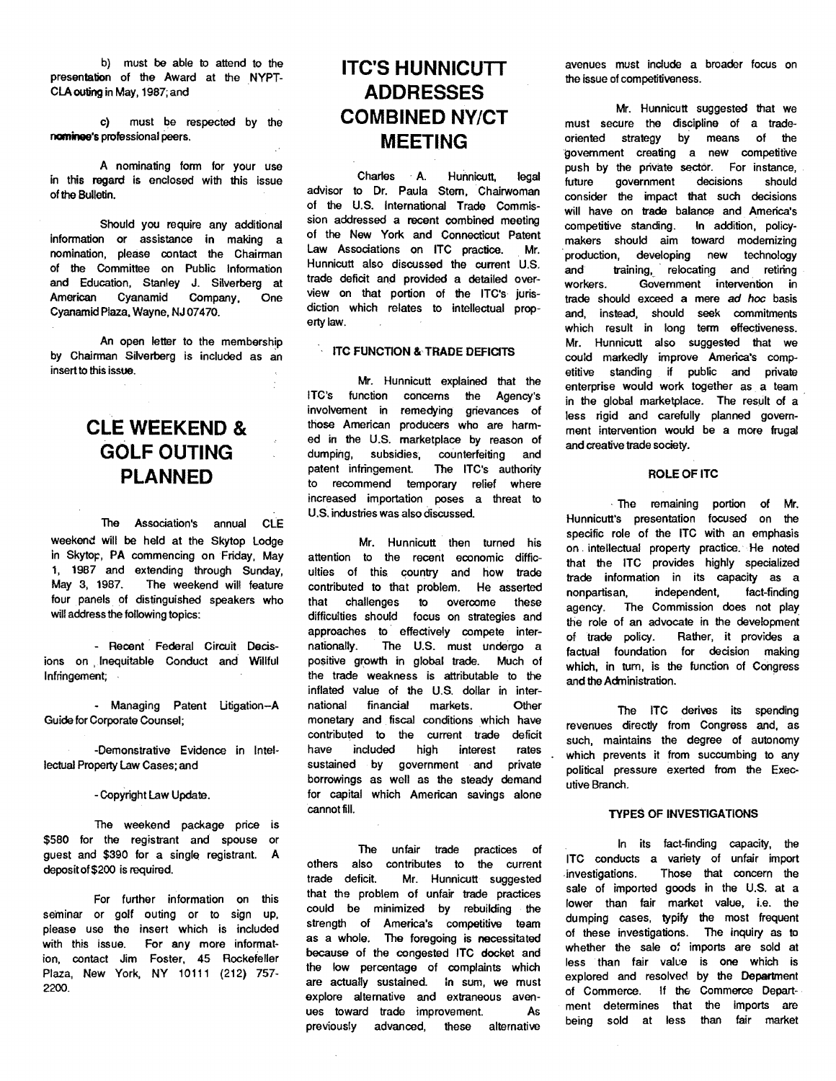b) must be able to attend to the presentation of the Award at the NYPT-CLAoutingin May, 1987; and

c) must be respected by the **nominee's** professional peers.

A nominating form for your use in this regard is enclosed with this issue of the Bulletin.

Should you require any additional information or assistance in making a nomination, please contact the Chairman of the Committee on Public Information and Education, Stanley J. Silverberg at American Cyanamid Company, One Cyanamid Plaza, Wayne, NJ 07470.

An open letter to the membership by Chairman Silverberg is included as an insertto this issue.

### **CLE WEEKEND &**  GOLF OUTING **PLANNED**

The Association's annual ClE weekend will be held at the Skytop Lodge in Skytop, PA commencing on Friday, May 1, 1987 and extending through Sunday, May 3, 1987. The weekend will feature four panels. of distinguished speakers who will address the following topics:

- Recent Federal Circuit Decisions on. Inequitable Conduct and Willful Infringement;

- Managing Patent Litigation--A Guide for Corporate Counsel;

-Demonstrative Evidence in Intellectual Property Law Cases; and

- Copyright Law Update.

The weekend package price is \$580 for the registrant and spouse or guest and \$390 for a single registrant. A depositof\$200 is required.

For further information on this seminar or golf outing or to sign up, please use the insert which is included with this issue. For any more information, contact Jim Foster, 45 Rockefeller Plaza, New York, NY 10111 (212) 757 2200.

### **lTC'S HUNNICUTT ADDRESSES COMBINED NV/CT MEETING**

Charles A. Hunnicutt, legal advisor to Dr. Paula Stern, Chairwoman of the U.S. International Trade Commission addressed a recent combined meeting of the New York and Connecticut Patent Law Associations on ITC practice. Mr. Hunnicutt also discussed the current U.S. trade deficit and provided a detailed overview on that portion of the lTC's jurisdiction which relates to intellectual propertY law.

#### **ITC FUNCTION & TRADE DEFICITS**

Mr. Hunnicutt explained that the lTC's function concerns the Agency'S involvement in remedying grievances of those American producers who are harmed in the U.S. marketplace by reason of dumping, subsidies, counterfeiting and patent infringement. The lTC's authority to recommend temporary relief where increased importation poses a threat to U.S. industries was also discussed.

Mr. Hunnicutt then turned his attention to the recent economic difficulties of this. country and how trade contributed to that problem. He asserted that challenges to overcome these difficulties should focus on strategies and approaches to effectively compete internationally. The U.S. must undergo a positive growth in global trade. Much of the trade weakness is attributable to the inflated value of the U.S. dollar in international financial markets. Other monetary and fiscal conditions which have contributed to the current trade deficit have included high interest rates sustained by government and private borrowings as well as the steady demand for capital which American savings alone cannot fill.

The unfair trade practices of others also contributes to the current trade deficit. Mr. Hunnicutt suggested that the problem of unfair trade practices could be minimized by rebuilding the strength of America's competitive team as a whole. The foregoing is necessitated because of the congested ITC docket and the low percentage of complaints which are actually sustained. In sum, we must explore alternative and extraneous avenues toward trade improvement. As previously advanced, these alternative

avenues must include a broader focus on the issue of competitiveness.

Mr. Hunnicutt suggested that we must secure the discipline of a tradeoriented strategy by means of the government creating a new competitive push by the private sector. For instance, future government decisions should consider the impact that such decisions will have on trade balance and America's competitive standing. In addition, policymakers should aim toward modemizing production, developing new technology and training, relocating and retiring workers. Government intervention in trade should exceed a mere ad hoc basis and, instead, should seek commitments which result in long term effectiveness. Mr. Hunnicutt also suggested that we could markedly improve America's competitive standing if public and private enterprise would work together as a team . in the global marketplace. The result of a less rigid and carefully planned government intervention would be a more frugal and creative trade society.

#### ROLEOFITC

The remaining portion of Mr. Hunnicutt's presentation focused on the specific role of the ITC with an emphasis on intellectual property practice. He noted that the ITC provides highly specialized trade information in its capacity as a nonpartisan, independent, fact-finding agency. The Commission does not play the role of an advocate in the development of trade policy. Rather, it provides a factual foundation for decision making which, in tum, is the function of Congress and the Administration.

The ITC derives its spending revenues directly from Congress and, as such, maintains the degree of autonomy which prevents it from succumbing to any political pressure exerted from the Executive Branch.

#### TYPES OF INVESTIGATIONS

In its fact-finding capacity, the ITC conducts a variety of unfair import . investigations. Those that concern the sale of imported goods in the U.S. at a lower than fair market value, i.e. the dumping cases, typify the most frequent of these investigations. The inquiry as to whether the sale of imports are sold at less than fair value is one which is explored and resolved by the Department of Commerce. If the Commerce Department determines that the imports are being sold at less than fair market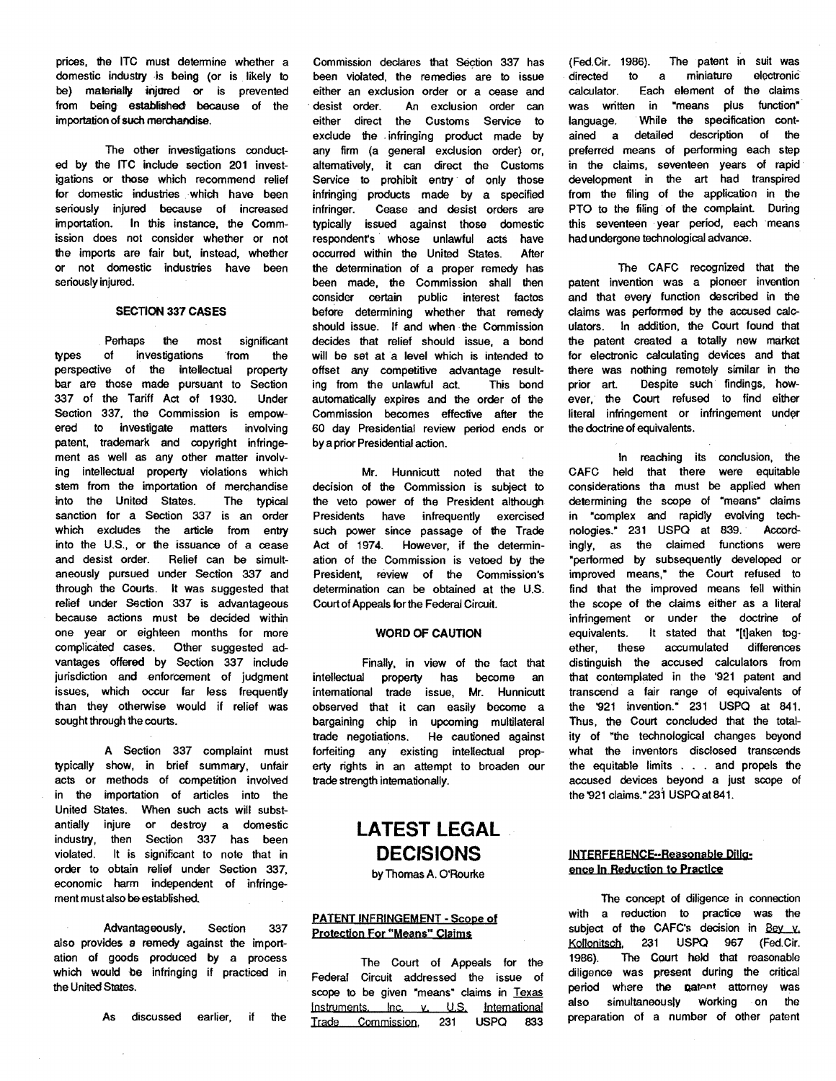prices, the ITC must determine whether a domestic industry is being (or is likely to be) materially 'injored or is prevented from being established because of the importation of such merchandise.

The other investigations conducted by the ITC include section 201 investigations or those which recommend relief for domestic industries which have been seriously injured because of increased importation. In this instance, the Commission does not consider whether or not the imports are fair but, instead, whether or not domestic industries have been seriously injured.

#### SECTION 337 CASES

Perhaps the most significant types of investigations 'from the perspective of the intellectual property bar are those made pursuant to Section 337 of the Tariff Act of 1930. Under Section 337, the Commission is empowered to investigate matters involving patent, trademark and copyright infringement as well as any other matter involving intellectual property violations which stem from the importation of merchandise into the United States. The typical sanction for a Section 337 is an order which excludes the article from entry into the U.S., or the issuance of a cease and desist order. Relief can be simultaneously pursued under Section 337 and through the Courts. It was suggested that relief under Section 337 is advantageous because actions must be decided within one year or eighteen months for more complicated cases. Other suggested advantages offered by Section 337 include jurisdiction and enforcement of judgment issues. which occur far less frequently than they otherwise would if relief was sought through the courts.

A Section 337 complaint must typically show, in brief summary, unfair acts or methods of competition involved in the importation of articles into the United States. When such acts will substantially injure or destroy a domestic industry, then Section 337 has been violated. It is significant to note that in order to obtain relief under Section 337. economic harm independent of infringement must also be established

Advantageously. Section 337 also provides a remedy against the importation of goods produced by a process which would be infringing if practiced in the United States.

As discussed earlier. if the

Commission declares that Section 337 has been violated, the remedies are to issue either an exclusion order or a cease and 'desist order. An exclusion order can either direct the Customs Service to exclude the. infringing product made by any firm (a general exclusion order) or, altematively, it can direct the Customs Service to prohibit entry of only those infringing products made by a specified infringer. Cease and desist orders are typically issued against those domestic respondent's whose unlawful acts have occurred within the United States. After the determination of a proper remedy has been made, the Commission shall then consider certain public interest factos before determining whether that remedy should issue. If and when· the Commission decides that relief should issue, a bond will be set at a level which is intended to offset any competitive advantage resulting from the unlawful act. This bond automatically expires and the order of the Commission becomes effective after the 60 day Presidential review period ends or by a prior Presidential action.

Mr. Hunnicutt noted that the decision of the Commission is subject to the veto power of the President although Presidents have infrequently exercised such power since passage of the Trade Act of 1974. However, if the determination of the Commission is vetoed by the President, review of the Commission's determination can be obtained at the U.S. Court of Appeals for the Federal Circuit.

#### WORD OF CAUTION

Finally, in view of the fact that intellectual property has become an intemational trade issue, Mr. Hunnicutt observed that it can easily become a bargaining chip in upcoming multilateral trade negotiations. He cautioned against forfeiting any existing intellectual property rights in an attempt to broaden our trade strength intemationally.

# **LATEST LEGAL DECISIONS**

by Thomas A. O'Rourke

#### PATENT INFRINGEMENT - Scope of protection For "Means" Claims

The Court of Appeals for the Federal Circuit addressed the issue of scope to be given "means' claims in Texas Instruments. Inc. v. U.S. International Trade Commission, 231 USPO 833

(Fed.Cir. 1986). The patent in suit was directed to a miniature electronic calculator. Each element of the claims was written in "means plus function" language. While the specification contained a detailed description of the preferred means of performing each step in the claims, seventeen years of rapid development in the art had transpired from the filing of the application in the PTO to the filing of the complaint. During this seventeen 'year period, each means had undergone technological advance.

The CAFC recognized that the patent invention was a pioneer invention and that every function described in the claims was performed by the accused calculators. In addition, the Court found that the patent created a totally new market for electronic calculating devices and that there was nothing remotely similar in the prior art. Despite such findings, however, the Court refused to find either literal infringement or infringement under the doctrine of equivalents.

In reaching its conclusion, the CAFC held that there were equitable considerations tha must be applied when determining the scope of "means" claims in "complex and rapidly evolving technologies: 231 USPO at 839. Accordingly, as the claimed functions were "performed by subsequently developed or improved means," the Court refused to find that the improved means fell within the scope of the claims either as a literal infringement or under the doctrine of equivalents. It stated that "[t}aken together, these accumulated differences distinguish the accused calculators from that contemplated in the '921 patent and transcend a fair range of equivalents of the '921 invention." 231 USPQ at 841. Thus. the Court concluded that the total*ity* of "the technological changes beyond what the inventors disclosed transcends the equitable limits . . . and propels the accused devices beyond a just scope of the '921 claims,"  $23\overline{1}$  USPQ at 841.

#### INTEREERENCE··Reasonable P1Ugence In Reduction to Practice

The concept of diligence in connection with a reduction to practice was the subject of the CAFC's decision in  $\frac{Bev}{2}$ . Kollonitsch, 231 USPQ 967 (Fed.Cir. 1986). The Court held that reasonable diligence was present during the critical period where the gatent attomey was also simultaneouslv working on the preparation of a number of other patent